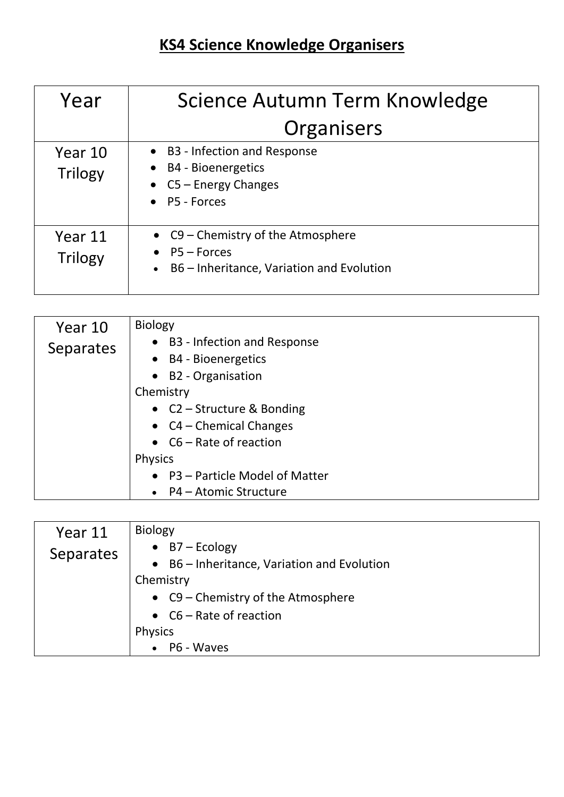## **KS4 Science Knowledge Organisers**

| Year                      | Science Autumn Term Knowledge                                                                             |
|---------------------------|-----------------------------------------------------------------------------------------------------------|
|                           | Organisers                                                                                                |
| Year 10<br><b>Trilogy</b> | • B3 - Infection and Response<br>$\bullet$ B4 - Bioenergetics<br>• $CS$ – Energy Changes<br>• P5 - Forces |
| Year 11<br><b>Trilogy</b> | • C9 - Chemistry of the Atmosphere<br>$\bullet$ P5 - Forces<br>B6 – Inheritance, Variation and Evolution  |

| Year 10          | <b>Biology</b>                         |
|------------------|----------------------------------------|
| <b>Separates</b> | • B3 - Infection and Response          |
|                  | <b>B4 - Bioenergetics</b><br>$\bullet$ |
|                  | • B2 - Organisation                    |
|                  | Chemistry                              |
|                  | • $C2 -$ Structure & Bonding           |
|                  | • $CA$ – Chemical Changes              |
|                  | • $C6 - Rate$ of reaction              |
|                  | <b>Physics</b>                         |
|                  | • P3 - Particle Model of Matter        |
|                  | • P4 – Atomic Structure                |

| Year 11   | <b>Biology</b>                              |
|-----------|---------------------------------------------|
| Separates | $\bullet$ B7 – Ecology                      |
|           | • B6 – Inheritance, Variation and Evolution |
|           | Chemistry                                   |
|           | • C9 – Chemistry of the Atmosphere          |
|           | • $C6 - Rate$ of reaction                   |
|           | <b>Physics</b>                              |
|           | P6 - Waves<br>$\bullet$                     |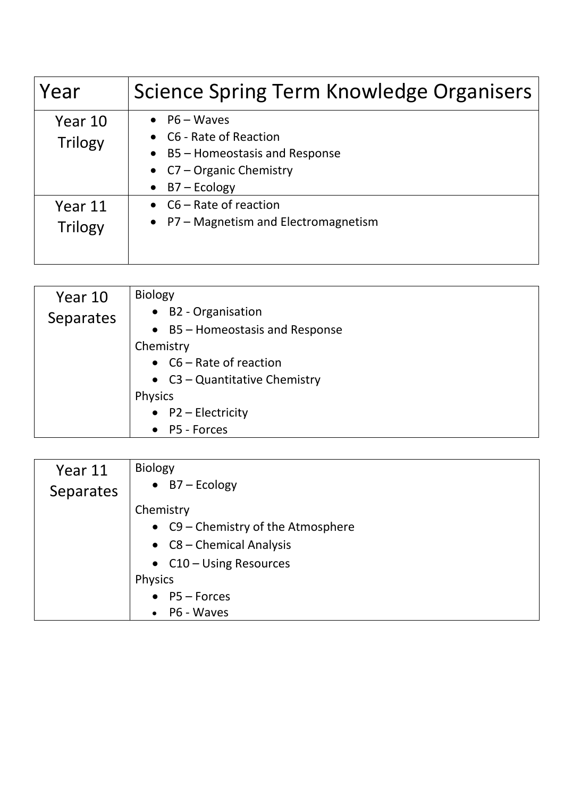| Year                      | Science Spring Term Knowledge Organisers                                                                                                           |
|---------------------------|----------------------------------------------------------------------------------------------------------------------------------------------------|
| Year 10<br><b>Trilogy</b> | $\bullet$ P6 – Waves<br>• C6 - Rate of Reaction<br>$\bullet$ B5 – Homeostasis and Response<br>• $C7 -$ Organic Chemistry<br>$\bullet$ B7 – Ecology |
| Year 11<br><b>Trilogy</b> | • $C6 - Rate$ of reaction<br>• P7 - Magnetism and Electromagnetism                                                                                 |

| Year 10   | <b>Biology</b>                  |
|-----------|---------------------------------|
| Separates | • B2 - Organisation             |
|           | • B5 - Homeostasis and Response |
|           | Chemistry                       |
|           | • $C6 - Rate$ of reaction       |
|           | • $C3 -$ Quantitative Chemistry |
|           | <b>Physics</b>                  |
|           | • $P2$ – Electricity            |
|           | • P5 - Forces                   |

| Year 11   | <b>Biology</b>                     |
|-----------|------------------------------------|
| Separates | $\bullet$ B7 – Ecology             |
|           | Chemistry                          |
|           | • C9 – Chemistry of the Atmosphere |
|           | • $C8 -$ Chemical Analysis         |
|           | • $C10 - Using Resources$          |
|           | <b>Physics</b>                     |
|           | $\bullet$ P5 - Forces              |
|           | P6 - Waves                         |